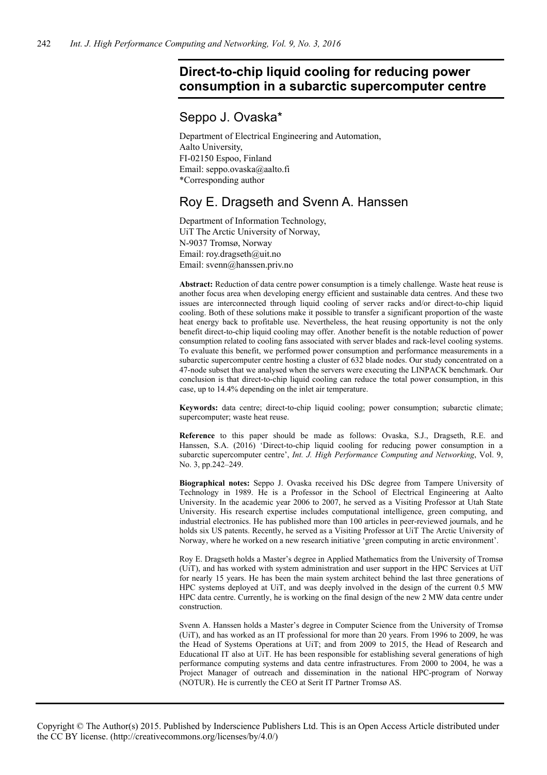# **Direct-to-chip liquid cooling for reducing power consumption in a subarctic supercomputer centre**

# Seppo J. Ovaska\*

Department of Electrical Engineering and Automation, Aalto University, FI-02150 Espoo, Finland Email: seppo.ovaska@aalto.fi \*Corresponding author

# Roy E. Dragseth and Svenn A. Hanssen

Department of Information Technology, UiT The Arctic University of Norway, N-9037 Tromsø, Norway Email: roy.dragseth@uit.no Email: svenn@hanssen.priv.no

**Abstract:** Reduction of data centre power consumption is a timely challenge. Waste heat reuse is another focus area when developing energy efficient and sustainable data centres. And these two issues are interconnected through liquid cooling of server racks and/or direct-to-chip liquid cooling. Both of these solutions make it possible to transfer a significant proportion of the waste heat energy back to profitable use. Nevertheless, the heat reusing opportunity is not the only benefit direct-to-chip liquid cooling may offer. Another benefit is the notable reduction of power consumption related to cooling fans associated with server blades and rack-level cooling systems. To evaluate this benefit, we performed power consumption and performance measurements in a subarctic supercomputer centre hosting a cluster of 632 blade nodes. Our study concentrated on a 47-node subset that we analysed when the servers were executing the LINPACK benchmark. Our conclusion is that direct-to-chip liquid cooling can reduce the total power consumption, in this case, up to 14.4% depending on the inlet air temperature.

**Keywords:** data centre; direct-to-chip liquid cooling; power consumption; subarctic climate; supercomputer; waste heat reuse.

**Reference** to this paper should be made as follows: Ovaska, S.J., Dragseth, R.E. and Hanssen, S.A. (2016) 'Direct-to-chip liquid cooling for reducing power consumption in a subarctic supercomputer centre', *Int. J. High Performance Computing and Networking*, Vol. 9, No. 3, pp.242–249.

**Biographical notes:** Seppo J. Ovaska received his DSc degree from Tampere University of Technology in 1989. He is a Professor in the School of Electrical Engineering at Aalto University. In the academic year 2006 to 2007, he served as a Visiting Professor at Utah State University. His research expertise includes computational intelligence, green computing, and industrial electronics. He has published more than 100 articles in peer-reviewed journals, and he holds six US patents. Recently, he served as a Visiting Professor at UiT The Arctic University of Norway, where he worked on a new research initiative 'green computing in arctic environment'.

Roy E. Dragseth holds a Master's degree in Applied Mathematics from the University of Tromsø (UiT), and has worked with system administration and user support in the HPC Services at UiT for nearly 15 years. He has been the main system architect behind the last three generations of HPC systems deployed at UiT, and was deeply involved in the design of the current 0.5 MW HPC data centre. Currently, he is working on the final design of the new 2 MW data centre under construction.

Svenn A. Hanssen holds a Master's degree in Computer Science from the University of Tromsø (UiT), and has worked as an IT professional for more than 20 years. From 1996 to 2009, he was the Head of Systems Operations at UiT; and from 2009 to 2015, the Head of Research and Educational IT also at UiT. He has been responsible for establishing several generations of high performance computing systems and data centre infrastructures. From 2000 to 2004, he was a Project Manager of outreach and dissemination in the national HPC-program of Norway (NOTUR). He is currently the CEO at Serit IT Partner Tromsø AS.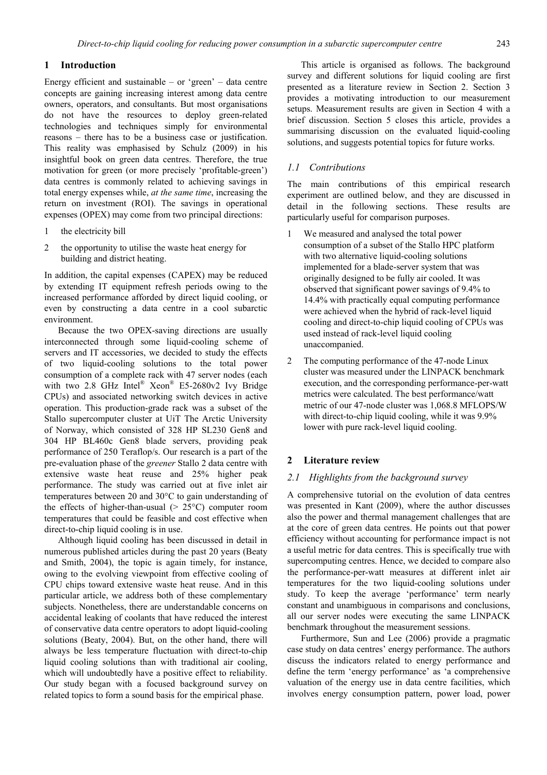# **1 Introduction**

Energy efficient and sustainable – or 'green' – data centre concepts are gaining increasing interest among data centre owners, operators, and consultants. But most organisations do not have the resources to deploy green-related technologies and techniques simply for environmental reasons – there has to be a business case or justification. This reality was emphasised by Schulz (2009) in his insightful book on green data centres. Therefore, the true motivation for green (or more precisely 'profitable-green') data centres is commonly related to achieving savings in total energy expenses while, *at the same time*, increasing the return on investment (ROI). The savings in operational expenses (OPEX) may come from two principal directions:

- 1 the electricity bill
- 2 the opportunity to utilise the waste heat energy for building and district heating.

In addition, the capital expenses (CAPEX) may be reduced by extending IT equipment refresh periods owing to the increased performance afforded by direct liquid cooling, or even by constructing a data centre in a cool subarctic environment.

Because the two OPEX-saving directions are usually interconnected through some liquid-cooling scheme of servers and IT accessories, we decided to study the effects of two liquid-cooling solutions to the total power consumption of a complete rack with 47 server nodes (each with two 2.8 GHz Intel<sup>®</sup> Xeon<sup>®</sup> E5-2680v2 Ivy Bridge CPUs) and associated networking switch devices in active operation. This production-grade rack was a subset of the Stallo supercomputer cluster at UiT The Arctic University of Norway, which consisted of 328 HP SL230 Gen8 and 304 HP BL460c Gen8 blade servers, providing peak performance of 250 Teraflop/s. Our research is a part of the pre-evaluation phase of the *greener* Stallo 2 data centre with extensive waste heat reuse and 25% higher peak performance. The study was carried out at five inlet air temperatures between 20 and 30°C to gain understanding of the effects of higher-than-usual (> 25°C) computer room temperatures that could be feasible and cost effective when direct-to-chip liquid cooling is in use.

Although liquid cooling has been discussed in detail in numerous published articles during the past 20 years (Beaty and Smith, 2004), the topic is again timely, for instance, owing to the evolving viewpoint from effective cooling of CPU chips toward extensive waste heat reuse. And in this particular article, we address both of these complementary subjects. Nonetheless, there are understandable concerns on accidental leaking of coolants that have reduced the interest of conservative data centre operators to adopt liquid-cooling solutions (Beaty, 2004). But, on the other hand, there will always be less temperature fluctuation with direct-to-chip liquid cooling solutions than with traditional air cooling, which will undoubtedly have a positive effect to reliability. Our study began with a focused background survey on related topics to form a sound basis for the empirical phase.

This article is organised as follows. The background survey and different solutions for liquid cooling are first presented as a literature review in Section 2. Section 3 provides a motivating introduction to our measurement setups. Measurement results are given in Section 4 with a brief discussion. Section 5 closes this article, provides a summarising discussion on the evaluated liquid-cooling solutions, and suggests potential topics for future works.

#### *1.1 Contributions*

The main contributions of this empirical research experiment are outlined below, and they are discussed in detail in the following sections. These results are particularly useful for comparison purposes.

- 1 We measured and analysed the total power consumption of a subset of the Stallo HPC platform with two alternative liquid-cooling solutions implemented for a blade-server system that was originally designed to be fully air cooled. It was observed that significant power savings of 9.4% to 14.4% with practically equal computing performance were achieved when the hybrid of rack-level liquid cooling and direct-to-chip liquid cooling of CPUs was used instead of rack-level liquid cooling unaccompanied.
- 2 The computing performance of the 47-node Linux cluster was measured under the LINPACK benchmark execution, and the corresponding performance-per-watt metrics were calculated. The best performance/watt metric of our 47-node cluster was 1,068.8 MFLOPS/W with direct-to-chip liquid cooling, while it was 9.9% lower with pure rack-level liquid cooling.

# **2 Literature review**

# *2.1 Highlights from the background survey*

A comprehensive tutorial on the evolution of data centres was presented in Kant (2009), where the author discusses also the power and thermal management challenges that are at the core of green data centres. He points out that power efficiency without accounting for performance impact is not a useful metric for data centres. This is specifically true with supercomputing centres. Hence, we decided to compare also the performance-per-watt measures at different inlet air temperatures for the two liquid-cooling solutions under study. To keep the average 'performance' term nearly constant and unambiguous in comparisons and conclusions, all our server nodes were executing the same LINPACK benchmark throughout the measurement sessions.

Furthermore, Sun and Lee (2006) provide a pragmatic case study on data centres' energy performance. The authors discuss the indicators related to energy performance and define the term 'energy performance' as 'a comprehensive valuation of the energy use in data centre facilities, which involves energy consumption pattern, power load, power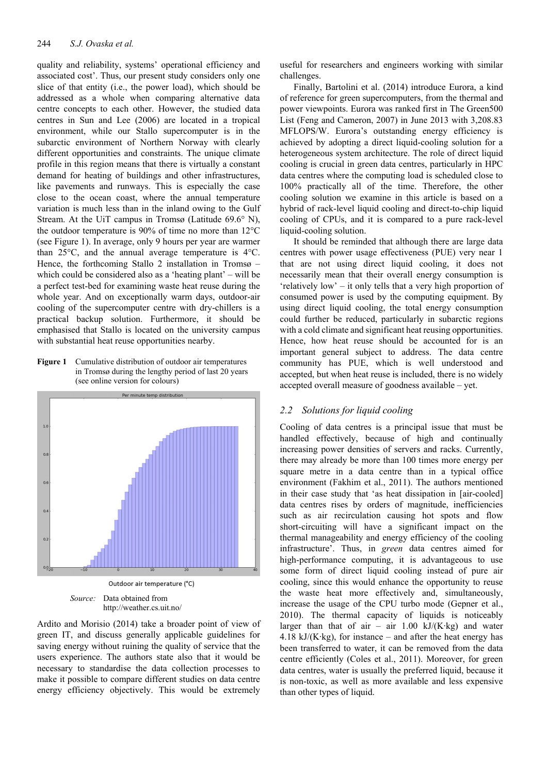quality and reliability, systems' operational efficiency and associated cost'. Thus, our present study considers only one slice of that entity (i.e., the power load), which should be addressed as a whole when comparing alternative data centre concepts to each other. However, the studied data centres in Sun and Lee (2006) are located in a tropical environment, while our Stallo supercomputer is in the subarctic environment of Northern Norway with clearly different opportunities and constraints. The unique climate profile in this region means that there is virtually a constant demand for heating of buildings and other infrastructures, like pavements and runways. This is especially the case close to the ocean coast, where the annual temperature variation is much less than in the inland owing to the Gulf Stream. At the UiT campus in Tromsø (Latitude 69.6° N), the outdoor temperature is 90% of time no more than 12°C (see Figure 1). In average, only 9 hours per year are warmer than 25°C, and the annual average temperature is 4°C. Hence, the forthcoming Stallo 2 installation in Tromsø – which could be considered also as a 'heating plant' – will be a perfect test-bed for examining waste heat reuse during the whole year. And on exceptionally warm days, outdoor-air cooling of the supercomputer centre with dry-chillers is a practical backup solution. Furthermore, it should be emphasised that Stallo is located on the university campus with substantial heat reuse opportunities nearby.

**Figure 1** Cumulative distribution of outdoor air temperatures in Tromsø during the lengthy period of last 20 years (see online version for colours)



http://weather.cs.uit.no/

Ardito and Morisio (2014) take a broader point of view of green IT, and discuss generally applicable guidelines for saving energy without ruining the quality of service that the users experience. The authors state also that it would be necessary to standardise the data collection processes to make it possible to compare different studies on data centre energy efficiency objectively. This would be extremely useful for researchers and engineers working with similar challenges.

Finally, Bartolini et al. (2014) introduce Eurora, a kind of reference for green supercomputers, from the thermal and power viewpoints. Eurora was ranked first in The Green500 List (Feng and Cameron, 2007) in June 2013 with 3,208.83 MFLOPS/W. Eurora's outstanding energy efficiency is achieved by adopting a direct liquid-cooling solution for a heterogeneous system architecture. The role of direct liquid cooling is crucial in green data centres, particularly in HPC data centres where the computing load is scheduled close to 100% practically all of the time. Therefore, the other cooling solution we examine in this article is based on a hybrid of rack-level liquid cooling and direct-to-chip liquid cooling of CPUs, and it is compared to a pure rack-level liquid-cooling solution.

It should be reminded that although there are large data centres with power usage effectiveness (PUE) very near 1 that are not using direct liquid cooling, it does not necessarily mean that their overall energy consumption is 'relatively low' – it only tells that a very high proportion of consumed power is used by the computing equipment. By using direct liquid cooling, the total energy consumption could further be reduced, particularly in subarctic regions with a cold climate and significant heat reusing opportunities. Hence, how heat reuse should be accounted for is an important general subject to address. The data centre community has PUE, which is well understood and accepted, but when heat reuse is included, there is no widely accepted overall measure of goodness available – yet.

# *2.2 Solutions for liquid cooling*

Cooling of data centres is a principal issue that must be handled effectively, because of high and continually increasing power densities of servers and racks. Currently, there may already be more than 100 times more energy per square metre in a data centre than in a typical office environment (Fakhim et al., 2011). The authors mentioned in their case study that 'as heat dissipation in [air-cooled] data centres rises by orders of magnitude, inefficiencies such as air recirculation causing hot spots and flow short-circuiting will have a significant impact on the thermal manageability and energy efficiency of the cooling infrastructure'. Thus, in *green* data centres aimed for high-performance computing, it is advantageous to use some form of direct liquid cooling instead of pure air cooling, since this would enhance the opportunity to reuse the waste heat more effectively and, simultaneously, increase the usage of the CPU turbo mode (Gepner et al., 2010). The thermal capacity of liquids is noticeably larger than that of air – air  $1.00 \text{ kJ/(K·kg)}$  and water 4.18 kJ/(K·kg), for instance – and after the heat energy has been transferred to water, it can be removed from the data centre efficiently (Coles et al., 2011). Moreover, for green data centres, water is usually the preferred liquid, because it is non-toxic, as well as more available and less expensive than other types of liquid.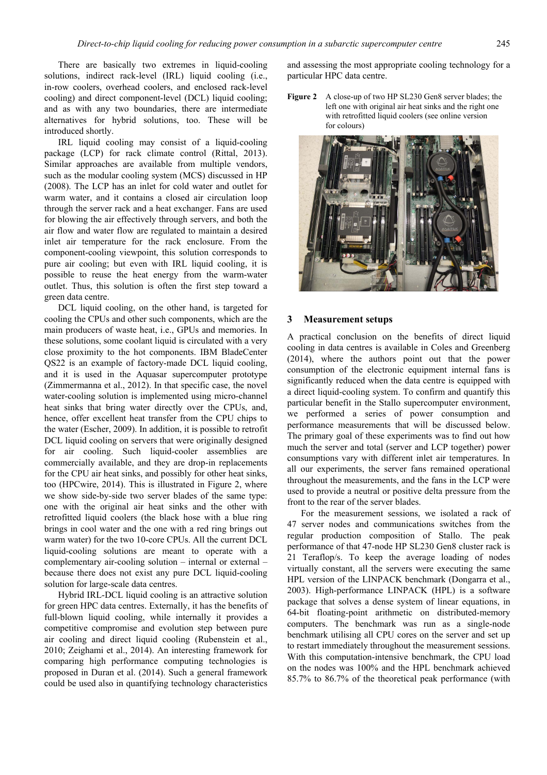There are basically two extremes in liquid-cooling solutions, indirect rack-level (IRL) liquid cooling (i.e., in-row coolers, overhead coolers, and enclosed rack-level cooling) and direct component-level (DCL) liquid cooling; and as with any two boundaries, there are intermediate alternatives for hybrid solutions, too. These will be introduced shortly.

IRL liquid cooling may consist of a liquid-cooling package (LCP) for rack climate control (Rittal, 2013). Similar approaches are available from multiple vendors, such as the modular cooling system (MCS) discussed in HP (2008). The LCP has an inlet for cold water and outlet for warm water, and it contains a closed air circulation loop through the server rack and a heat exchanger. Fans are used for blowing the air effectively through servers, and both the air flow and water flow are regulated to maintain a desired inlet air temperature for the rack enclosure. From the component-cooling viewpoint, this solution corresponds to pure air cooling; but even with IRL liquid cooling, it is possible to reuse the heat energy from the warm-water outlet. Thus, this solution is often the first step toward a green data centre.

DCL liquid cooling, on the other hand, is targeted for cooling the CPUs and other such components, which are the main producers of waste heat, i.e., GPUs and memories. In these solutions, some coolant liquid is circulated with a very close proximity to the hot components. IBM BladeCenter QS22 is an example of factory-made DCL liquid cooling, and it is used in the Aquasar supercomputer prototype (Zimmermanna et al., 2012). In that specific case, the novel water-cooling solution is implemented using micro-channel heat sinks that bring water directly over the CPUs, and, hence, offer excellent heat transfer from the CPU chips to the water (Escher, 2009). In addition, it is possible to retrofit DCL liquid cooling on servers that were originally designed for air cooling. Such liquid-cooler assemblies are commercially available, and they are drop-in replacements for the CPU air heat sinks, and possibly for other heat sinks, too (HPCwire, 2014). This is illustrated in Figure 2, where we show side-by-side two server blades of the same type: one with the original air heat sinks and the other with retrofitted liquid coolers (the black hose with a blue ring brings in cool water and the one with a red ring brings out warm water) for the two 10-core CPUs. All the current DCL liquid-cooling solutions are meant to operate with a complementary air-cooling solution – internal or external – because there does not exist any pure DCL liquid-cooling solution for large-scale data centres.

Hybrid IRL-DCL liquid cooling is an attractive solution for green HPC data centres. Externally, it has the benefits of full-blown liquid cooling, while internally it provides a competitive compromise and evolution step between pure air cooling and direct liquid cooling (Rubenstein et al., 2010; Zeighami et al., 2014). An interesting framework for comparing high performance computing technologies is proposed in Duran et al. (2014). Such a general framework could be used also in quantifying technology characteristics

and assessing the most appropriate cooling technology for a particular HPC data centre.

Figure 2 A close-up of two HP SL230 Gen8 server blades; the left one with original air heat sinks and the right one with retrofitted liquid coolers (see online version for colours)



#### **3 Measurement setups**

A practical conclusion on the benefits of direct liquid cooling in data centres is available in Coles and Greenberg (2014), where the authors point out that the power consumption of the electronic equipment internal fans is significantly reduced when the data centre is equipped with a direct liquid-cooling system. To confirm and quantify this particular benefit in the Stallo supercomputer environment, we performed a series of power consumption and performance measurements that will be discussed below. The primary goal of these experiments was to find out how much the server and total (server and LCP together) power consumptions vary with different inlet air temperatures. In all our experiments, the server fans remained operational throughout the measurements, and the fans in the LCP were used to provide a neutral or positive delta pressure from the front to the rear of the server blades.

For the measurement sessions, we isolated a rack of 47 server nodes and communications switches from the regular production composition of Stallo. The peak performance of that 47-node HP SL230 Gen8 cluster rack is 21 Teraflop/s. To keep the average loading of nodes virtually constant, all the servers were executing the same HPL version of the LINPACK benchmark (Dongarra et al., 2003). High-performance LINPACK (HPL) is a software package that solves a dense system of linear equations, in 64-bit floating-point arithmetic on distributed-memory computers. The benchmark was run as a single-node benchmark utilising all CPU cores on the server and set up to restart immediately throughout the measurement sessions. With this computation-intensive benchmark, the CPU load on the nodes was 100% and the HPL benchmark achieved 85.7% to 86.7% of the theoretical peak performance (with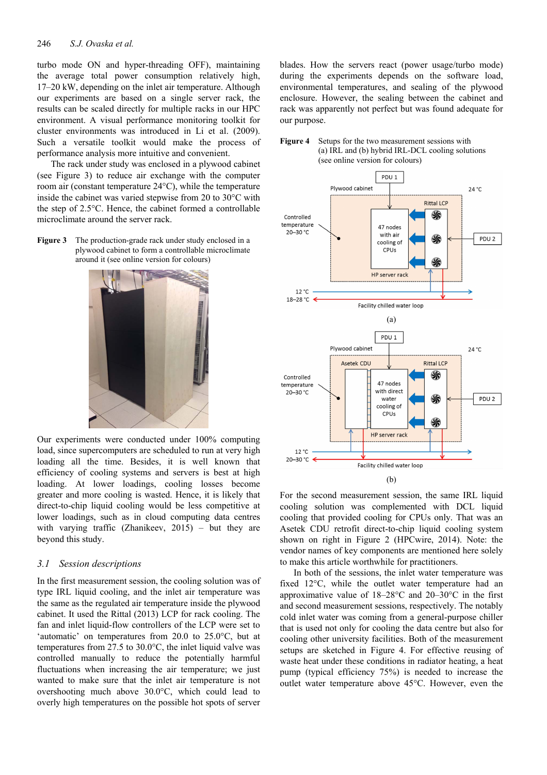#### 246 *S.J. Ovaska et al.*

turbo mode ON and hyper-threading OFF), maintaining the average total power consumption relatively high, 17–20 kW, depending on the inlet air temperature. Although our experiments are based on a single server rack, the results can be scaled directly for multiple racks in our HPC environment. A visual performance monitoring toolkit for cluster environments was introduced in Li et al. (2009). Such a versatile toolkit would make the process of performance analysis more intuitive and convenient.

The rack under study was enclosed in a plywood cabinet (see Figure 3) to reduce air exchange with the computer room air (constant temperature 24°C), while the temperature inside the cabinet was varied stepwise from 20 to 30°C with the step of 2.5°C. Hence, the cabinet formed a controllable microclimate around the server rack.

**Figure 3** The production-grade rack under study enclosed in a plywood cabinet to form a controllable microclimate around it (see online version for colours)



Our experiments were conducted under 100% computing load, since supercomputers are scheduled to run at very high loading all the time. Besides, it is well known that efficiency of cooling systems and servers is best at high loading. At lower loadings, cooling losses become greater and more cooling is wasted. Hence, it is likely that direct-to-chip liquid cooling would be less competitive at lower loadings, such as in cloud computing data centres with varying traffic (Zhanikeev,  $2015$ ) – but they are beyond this study.

#### *3.1 Session descriptions*

In the first measurement session, the cooling solution was of type IRL liquid cooling, and the inlet air temperature was the same as the regulated air temperature inside the plywood cabinet. It used the Rittal (2013) LCP for rack cooling. The fan and inlet liquid-flow controllers of the LCP were set to 'automatic' on temperatures from 20.0 to 25.0°C, but at temperatures from 27.5 to 30.0°C, the inlet liquid valve was controlled manually to reduce the potentially harmful fluctuations when increasing the air temperature; we just wanted to make sure that the inlet air temperature is not overshooting much above 30.0°C, which could lead to overly high temperatures on the possible hot spots of server

blades. How the servers react (power usage/turbo mode) during the experiments depends on the software load, environmental temperatures, and sealing of the plywood enclosure. However, the sealing between the cabinet and rack was apparently not perfect but was found adequate for our purpose.





For the second measurement session, the same IRL liquid cooling solution was complemented with DCL liquid cooling that provided cooling for CPUs only. That was an Asetek CDU retrofit direct-to-chip liquid cooling system shown on right in Figure 2 (HPCwire, 2014). Note: the vendor names of key components are mentioned here solely to make this article worthwhile for practitioners.

In both of the sessions, the inlet water temperature was fixed 12°C, while the outlet water temperature had an approximative value of 18–28°C and 20–30°C in the first and second measurement sessions, respectively. The notably cold inlet water was coming from a general-purpose chiller that is used not only for cooling the data centre but also for cooling other university facilities. Both of the measurement setups are sketched in Figure 4. For effective reusing of waste heat under these conditions in radiator heating, a heat pump (typical efficiency 75%) is needed to increase the outlet water temperature above 45°C. However, even the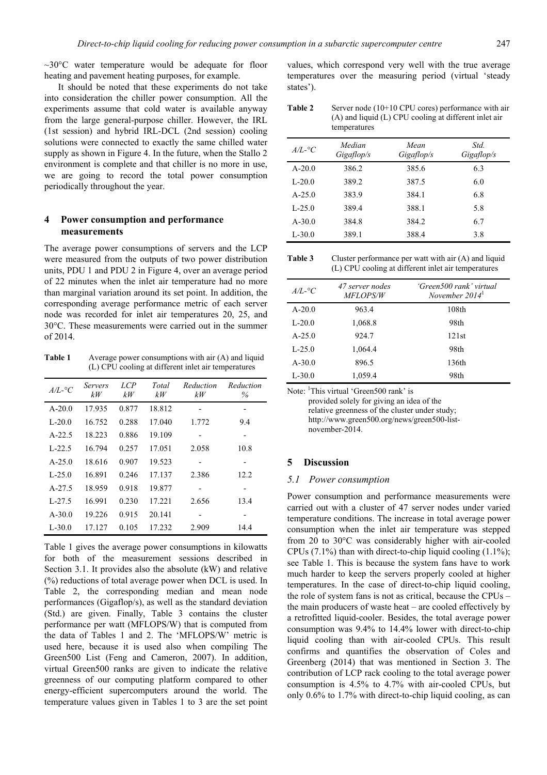$\sim$ 30°C water temperature would be adequate for floor heating and pavement heating purposes, for example.

It should be noted that these experiments do not take into consideration the chiller power consumption. All the experiments assume that cold water is available anyway from the large general-purpose chiller. However, the IRL (1st session) and hybrid IRL-DCL (2nd session) cooling solutions were connected to exactly the same chilled water supply as shown in Figure 4. In the future, when the Stallo 2 environment is complete and that chiller is no more in use, we are going to record the total power consumption periodically throughout the year.

# **4 Power consumption and performance measurements**

The average power consumptions of servers and the LCP were measured from the outputs of two power distribution units, PDU 1 and PDU 2 in Figure 4, over an average period of 22 minutes when the inlet air temperature had no more than marginal variation around its set point. In addition, the corresponding average performance metric of each server node was recorded for inlet air temperatures 20, 25, and 30°C. These measurements were carried out in the summer of 2014.

Table 1 Average power consumptions with air (A) and liquid (L) CPU cooling at different inlet air temperatures

| $A/L$ -°C  | <b>Servers</b><br>kW | LCP<br>kW | Total<br>kW | Reduction<br>kW          | Reduction<br>$\%$ |
|------------|----------------------|-----------|-------------|--------------------------|-------------------|
| $A - 20.0$ | 17.935               | 0.877     | 18.812      | $\overline{\phantom{0}}$ | -                 |
| $L-20.0$   | 16.752               | 0.288     | 17.040      | 1.772                    | 9.4               |
| $A-22.5$   | 18.223               | 0.886     | 19.109      |                          |                   |
| $L-22.5$   | 16.794               | 0.257     | 17.051      | 2.058                    | 10.8              |
| $A - 25.0$ | 18.616               | 0.907     | 19.523      | -                        |                   |
| $L-25.0$   | 16.891               | 0.246     | 17.137      | 2.386                    | 12.2              |
| $A-27.5$   | 18.959               | 0.918     | 19.877      |                          |                   |
| $L-27.5$   | 16.991               | 0.230     | 17.221      | 2.656                    | 13.4              |
| $A - 30.0$ | 19.226               | 0.915     | 20.141      |                          |                   |
| $L - 30.0$ | 17.127               | 0.105     | 17.232      | 2.909                    | 14.4              |

Table 1 gives the average power consumptions in kilowatts for both of the measurement sessions described in Section 3.1. It provides also the absolute (kW) and relative (%) reductions of total average power when DCL is used. In Table 2, the corresponding median and mean node performances (Gigaflop/s), as well as the standard deviation (Std.) are given. Finally, Table 3 contains the cluster performance per watt (MFLOPS/W) that is computed from the data of Tables 1 and 2. The 'MFLOPS/W' metric is used here, because it is used also when compiling The Green500 List (Feng and Cameron, 2007). In addition, virtual Green500 ranks are given to indicate the relative greenness of our computing platform compared to other energy-efficient supercomputers around the world. The temperature values given in Tables 1 to 3 are the set point values, which correspond very well with the true average temperatures over the measuring period (virtual 'steady states').

| Table 2 | Server node $(10+10$ CPU cores) performance with air  |
|---------|-------------------------------------------------------|
|         | (A) and liquid (L) CPU cooling at different inlet air |
|         | temperatures                                          |

| $A/L$ -°C  | Median<br>Gigaflop/s | Mean<br>Gigaflop/s | Std.<br>Gigaflop/s |
|------------|----------------------|--------------------|--------------------|
| $A - 20.0$ | 386.2                | 385.6              | 6.3                |
| $L-20.0$   | 389.2                | 387.5              | 6.0                |
| $A - 25.0$ | 383.9                | 384.1              | 6.8                |
| $L-25.0$   | 389.4                | 388.1              | 5.8                |
| $A - 30.0$ | 384.8                | 384.2              | 6.7                |
| $L - 30.0$ | 389.1                | 388.4              | 3.8                |

**Table 3** Cluster performance per watt with air (A) and liquid (L) CPU cooling at different inlet air temperatures

| $A/L$ -°C  | 47 server nodes<br><i>MFLOPS/W</i> | 'Green500 rank' virtual<br>November $20141$ |
|------------|------------------------------------|---------------------------------------------|
| $A - 20.0$ | 963.4                              | 108 <sub>th</sub>                           |
| $L-20.0$   | 1,068.8                            | 98th                                        |
| $A - 25.0$ | 924.7                              | 121st                                       |
| $L-25.0$   | 1,064.4                            | 98th                                        |
| $A - 30.0$ | 896.5                              | 136th                                       |
| $L - 30.0$ | 1,059.4                            | 98th                                        |

Note: <sup>1</sup>This virtual 'Green500 rank' is provided solely for giving an idea of the relative greenness of the cluster under study; http://www.green500.org/news/green500-listnovember-2014.

### **5 Discussion**

#### *5.1 Power consumption*

Power consumption and performance measurements were carried out with a cluster of 47 server nodes under varied temperature conditions. The increase in total average power consumption when the inlet air temperature was stepped from 20 to 30°C was considerably higher with air-cooled CPUs  $(7.1\%)$  than with direct-to-chip liquid cooling  $(1.1\%)$ ; see Table 1. This is because the system fans have to work much harder to keep the servers properly cooled at higher temperatures. In the case of direct-to-chip liquid cooling, the role of system fans is not as critical, because the CPUs – the main producers of waste heat – are cooled effectively by a retrofitted liquid-cooler. Besides, the total average power consumption was 9.4% to 14.4% lower with direct-to-chip liquid cooling than with air-cooled CPUs. This result confirms and quantifies the observation of Coles and Greenberg (2014) that was mentioned in Section 3. The contribution of LCP rack cooling to the total average power consumption is 4.5% to 4.7% with air-cooled CPUs, but only 0.6% to 1.7% with direct-to-chip liquid cooling, as can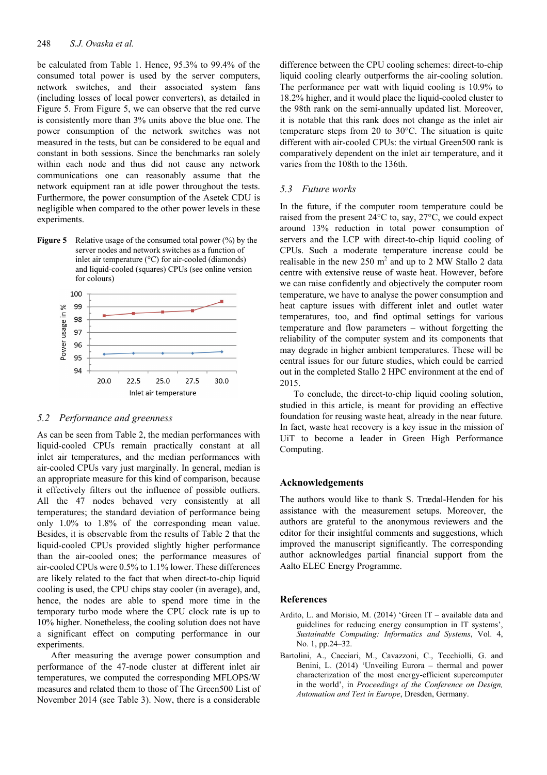be calculated from Table 1. Hence, 95.3% to 99.4% of the consumed total power is used by the server computers, network switches, and their associated system fans (including losses of local power converters), as detailed in Figure 5. From Figure 5, we can observe that the red curve is consistently more than 3% units above the blue one. The power consumption of the network switches was not measured in the tests, but can be considered to be equal and constant in both sessions. Since the benchmarks ran solely within each node and thus did not cause any network communications one can reasonably assume that the network equipment ran at idle power throughout the tests. Furthermore, the power consumption of the Asetek CDU is negligible when compared to the other power levels in these experiments.

**Figure 5** Relative usage of the consumed total power (%) by the server nodes and network switches as a function of inlet air temperature (°C) for air-cooled (diamonds) and liquid-cooled (squares) CPUs (see online version for colours)



#### *5.2 Performance and greenness*

As can be seen from Table 2, the median performances with liquid-cooled CPUs remain practically constant at all inlet air temperatures, and the median performances with air-cooled CPUs vary just marginally. In general, median is an appropriate measure for this kind of comparison, because it effectively filters out the influence of possible outliers. All the 47 nodes behaved very consistently at all temperatures; the standard deviation of performance being only 1.0% to 1.8% of the corresponding mean value. Besides, it is observable from the results of Table 2 that the liquid-cooled CPUs provided slightly higher performance than the air-cooled ones; the performance measures of air-cooled CPUs were 0.5% to 1.1% lower. These differences are likely related to the fact that when direct-to-chip liquid cooling is used, the CPU chips stay cooler (in average), and, hence, the nodes are able to spend more time in the temporary turbo mode where the CPU clock rate is up to 10% higher. Nonetheless, the cooling solution does not have a significant effect on computing performance in our experiments.

After measuring the average power consumption and performance of the 47-node cluster at different inlet air temperatures, we computed the corresponding MFLOPS/W measures and related them to those of The Green500 List of November 2014 (see Table 3). Now, there is a considerable difference between the CPU cooling schemes: direct-to-chip liquid cooling clearly outperforms the air-cooling solution. The performance per watt with liquid cooling is 10.9% to 18.2% higher, and it would place the liquid-cooled cluster to the 98th rank on the semi-annually updated list. Moreover, it is notable that this rank does not change as the inlet air temperature steps from 20 to 30°C. The situation is quite different with air-cooled CPUs: the virtual Green500 rank is comparatively dependent on the inlet air temperature, and it varies from the 108th to the 136th.

### *5.3 Future works*

In the future, if the computer room temperature could be raised from the present 24°C to, say, 27°C, we could expect around 13% reduction in total power consumption of servers and the LCP with direct-to-chip liquid cooling of CPUs. Such a moderate temperature increase could be realisable in the new 250  $m^2$  and up to 2 MW Stallo 2 data centre with extensive reuse of waste heat. However, before we can raise confidently and objectively the computer room temperature, we have to analyse the power consumption and heat capture issues with different inlet and outlet water temperatures, too, and find optimal settings for various temperature and flow parameters – without forgetting the reliability of the computer system and its components that may degrade in higher ambient temperatures. These will be central issues for our future studies, which could be carried out in the completed Stallo 2 HPC environment at the end of 2015.

To conclude, the direct-to-chip liquid cooling solution, studied in this article, is meant for providing an effective foundation for reusing waste heat, already in the near future. In fact, waste heat recovery is a key issue in the mission of UiT to become a leader in Green High Performance Computing.

#### **Acknowledgements**

The authors would like to thank S. Trædal-Henden for his assistance with the measurement setups. Moreover, the authors are grateful to the anonymous reviewers and the editor for their insightful comments and suggestions, which improved the manuscript significantly. The corresponding author acknowledges partial financial support from the Aalto ELEC Energy Programme.

# **References**

- Ardito, L. and Morisio, M. (2014) 'Green IT available data and guidelines for reducing energy consumption in IT systems', *Sustainable Computing: Informatics and Systems*, Vol. 4, No. 1, pp.24–32.
- Bartolini, A., Cacciari, M., Cavazzoni, C., Tecchiolli, G. and Benini, L. (2014) 'Unveiling Eurora – thermal and power characterization of the most energy-efficient supercomputer in the world', in *Proceedings of the Conference on Design, Automation and Test in Europe*, Dresden, Germany.